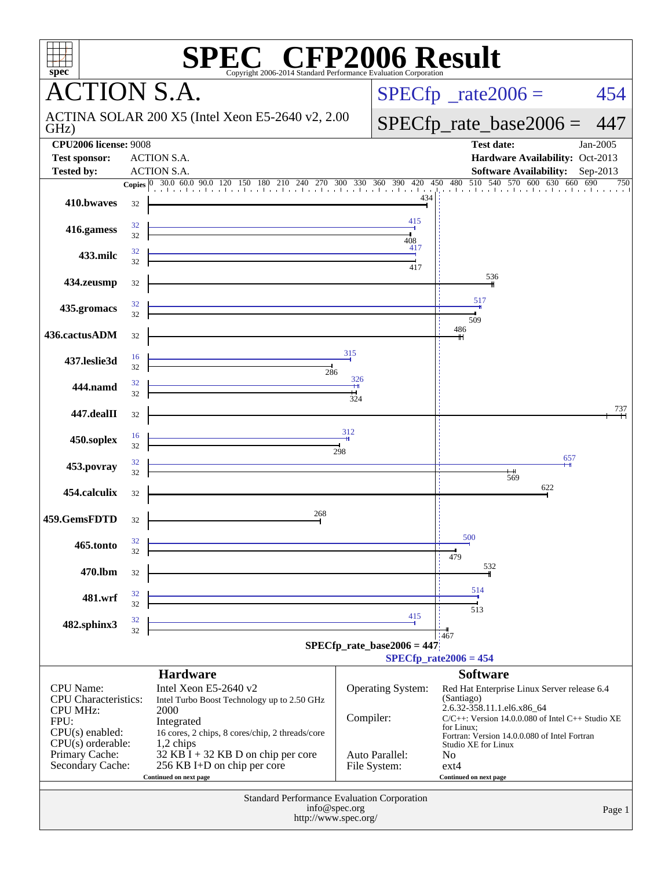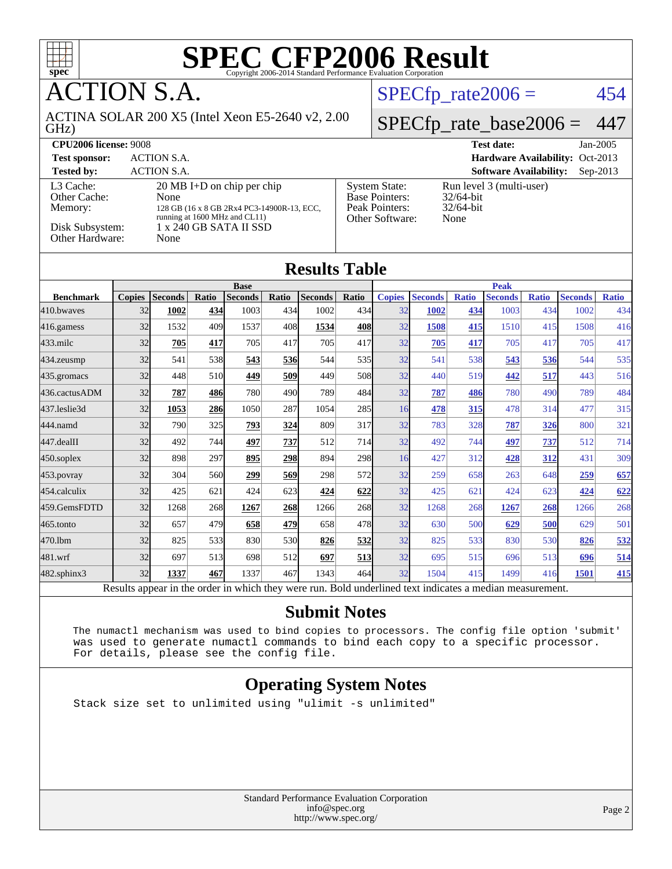

**CTION S.A.** 

ACTINA SOLAR 200 X5 (Intel Xeon E5-2640 v2, 2.00

 $SPECTp\_rate2006 = 454$ 

#### GHz) [SPECfp\\_rate\\_base2006 =](http://www.spec.org/auto/cpu2006/Docs/result-fields.html#SPECfpratebase2006) 447 **[CPU2006 license:](http://www.spec.org/auto/cpu2006/Docs/result-fields.html#CPU2006license)** 9008 **[Test date:](http://www.spec.org/auto/cpu2006/Docs/result-fields.html#Testdate)** Jan-2005 **[Test sponsor:](http://www.spec.org/auto/cpu2006/Docs/result-fields.html#Testsponsor)** ACTION S.A. **[Hardware Availability:](http://www.spec.org/auto/cpu2006/Docs/result-fields.html#HardwareAvailability)** Oct-2013 **[Tested by:](http://www.spec.org/auto/cpu2006/Docs/result-fields.html#Testedby)** ACTION S.A. **[Software Availability:](http://www.spec.org/auto/cpu2006/Docs/result-fields.html#SoftwareAvailability)** Sep-2013 [L3 Cache:](http://www.spec.org/auto/cpu2006/Docs/result-fields.html#L3Cache) 20 MB I+D on chip per chip<br>Other Cache: None [Other Cache:](http://www.spec.org/auto/cpu2006/Docs/result-fields.html#OtherCache) [Memory:](http://www.spec.org/auto/cpu2006/Docs/result-fields.html#Memory) 128 GB (16 x 8 GB 2Rx4 PC3-14900R-13, ECC, running at 1600 MHz and CL11) [Disk Subsystem:](http://www.spec.org/auto/cpu2006/Docs/result-fields.html#DiskSubsystem) 1 x 240 GB SATA II SSD<br>Other Hardware: None [Other Hardware:](http://www.spec.org/auto/cpu2006/Docs/result-fields.html#OtherHardware) [System State:](http://www.spec.org/auto/cpu2006/Docs/result-fields.html#SystemState) Run level 3 (multi-user)<br>Base Pointers: 32/64-bit [Base Pointers:](http://www.spec.org/auto/cpu2006/Docs/result-fields.html#BasePointers) 32/64-bit<br>Peak Pointers: 32/64-bit [Peak Pointers:](http://www.spec.org/auto/cpu2006/Docs/result-fields.html#PeakPointers) [Other Software:](http://www.spec.org/auto/cpu2006/Docs/result-fields.html#OtherSoftware) None

#### **[Results Table](http://www.spec.org/auto/cpu2006/Docs/result-fields.html#ResultsTable)**

|                  | <b>Base</b>    |                 |              |                |            |         | <b>Peak</b> |                      |                         |              |                |              |                |              |
|------------------|----------------|-----------------|--------------|----------------|------------|---------|-------------|----------------------|-------------------------|--------------|----------------|--------------|----------------|--------------|
| <b>Benchmark</b> | <b>Copies</b>  | <b>Seconds</b>  | Ratio        | <b>Seconds</b> | Ratio      | Seconds | Ratio       | <b>Copies</b>        | <b>Seconds</b>          | <b>Ratio</b> | <b>Seconds</b> | <b>Ratio</b> | <b>Seconds</b> | <b>Ratio</b> |
| 410.bwayes       | 32             | 1002            | 434          | 1003           | 434        | 1002    | 434         | 32                   | 1002                    | 434          | 1003           | 434          | 1002           | 434          |
| $ 416$ .gamess   | 32             | 1532            | 409          | 1537           | 408        | 1534    | 408         | 32                   | 1508                    | 415          | 1510           | 415          | 1508           | 416          |
| $433$ .milc      | 32             | 705             | 417          | 705            | 417        | 705     | 417         | 32                   | $\overline{205}$        | 417          | 705            | 417          | 705            | 417          |
| 434.zeusmp       | 32             | 541             | 538          | 543            | 536        | 544     | 535         | 32                   | 541                     | 538          | 543            | 536          | 544            | 535          |
| 435.gromacs      | 32             | 448             | 510          | 449            | 509        | 449     | 508         | 32                   | 440                     | 519          | 442            | 517          | 443            | 516          |
| 436.cactusADM    | 32             | 787             | 486          | 780            | 490        | 789     | 484         | 32                   | 787                     | 486          | 780            | 490          | 789            | 484          |
| 437.leslie3d     | 32             | 1053            | 286          | 1050           | 287        | 1054    | 285         | 16                   | 478                     | 315          | 478            | 314          | 477            | 315          |
| 444.namd         | 32             | 790             | 325          | 793            | 324        | 809     | 317         | 32                   | 783                     | 328          | 787            | 326          | 800            | 321          |
| $447$ .dealII    | 32             | 492             | 744          | 497            | 737        | 512     | 714I        | 32                   | 492                     | 744          | 497            | <u>737</u>   | 512            | 714          |
| $450$ .soplex    | 32             | 898             | 297          | 895            | 298        | 894     | 298         | 16                   | 427                     | 312          | 428            | 312          | 431            | 309          |
| $453$ .povray    | 32             | 304             | 560          | 299            | 569        | 298     | 572         | 32                   | 259                     | 658          | 263            | 648          | 259            | 657          |
| 454.calculix     | 32             | 425             | 621          | 424            | 623        | 424     | 622         | 32                   | 425                     | 621          | 424            | 623          | 424            | 622          |
| 459.GemsFDTD     | 32             | 1268            | 268          | 1267           | <b>268</b> | 1266    | 268         | 32                   | 1268                    | 268          | 1267           | 268          | 1266           | 268          |
| $465$ .tonto     | 32             | 657             | 479          | 658            | 479        | 658     | 478         | 32                   | 630                     | 500          | 629            | 500          | 629            | 501          |
| 470.1bm          | 32             | 825             | 533          | 830            | 530        | 826     | 532         | 32                   | 825                     | 533          | 830            | 530          | 826            | 532          |
| 481.wrf          | 32             | 697             | 513          | 698            | 512        | 697     | 513         | 32                   | 695                     | 515          | 696            | 513          | 696            | 514          |
| 482.sphinx3      | 32             | 1337            | 467          | 1337           | 467        | 1343    | 464         | 32                   | 1504                    | 415          | 1499           | 416          | 1501           | 415          |
| r.               | $\mathbf{1}$ . | $\cdot$ $\cdot$ | $\mathbf{I}$ | 1.1.1.1        |            |         | $T = 1.1$   | 1.11<br>$\mathbf{1}$ | $\bullet$ and $\bullet$ |              |                |              |                |              |

Results appear in the [order in which they were run.](http://www.spec.org/auto/cpu2006/Docs/result-fields.html#RunOrder) Bold underlined text [indicates a median measurement.](http://www.spec.org/auto/cpu2006/Docs/result-fields.html#Median)

#### **[Submit Notes](http://www.spec.org/auto/cpu2006/Docs/result-fields.html#SubmitNotes)**

 The numactl mechanism was used to bind copies to processors. The config file option 'submit' was used to generate numactl commands to bind each copy to a specific processor. For details, please see the config file.

#### **[Operating System Notes](http://www.spec.org/auto/cpu2006/Docs/result-fields.html#OperatingSystemNotes)**

Stack size set to unlimited using "ulimit -s unlimited"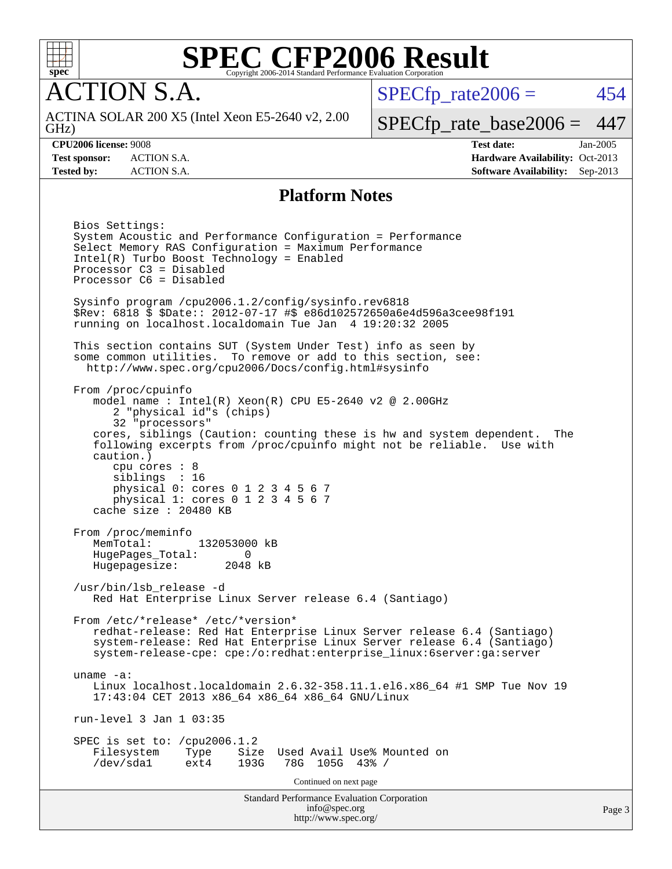

**CTION S.A.** 

GHz) ACTINA SOLAR 200 X5 (Intel Xeon E5-2640 v2, 2.00  $SPECTp\_rate2006 = 454$ 

[SPECfp\\_rate\\_base2006 =](http://www.spec.org/auto/cpu2006/Docs/result-fields.html#SPECfpratebase2006) 447

**[CPU2006 license:](http://www.spec.org/auto/cpu2006/Docs/result-fields.html#CPU2006license)** 9008 **[Test date:](http://www.spec.org/auto/cpu2006/Docs/result-fields.html#Testdate)** Jan-2005 **[Test sponsor:](http://www.spec.org/auto/cpu2006/Docs/result-fields.html#Testsponsor)** ACTION S.A. **[Hardware Availability:](http://www.spec.org/auto/cpu2006/Docs/result-fields.html#HardwareAvailability)** Oct-2013 **[Tested by:](http://www.spec.org/auto/cpu2006/Docs/result-fields.html#Testedby)** ACTION S.A. **[Software Availability:](http://www.spec.org/auto/cpu2006/Docs/result-fields.html#SoftwareAvailability)** Sep-2013

#### **[Platform Notes](http://www.spec.org/auto/cpu2006/Docs/result-fields.html#PlatformNotes)**

Standard Performance Evaluation Corporation [info@spec.org](mailto:info@spec.org) Bios Settings: System Acoustic and Performance Configuration = Performance Select Memory RAS Configuration = Maximum Performance Intel(R) Turbo Boost Technology = Enabled Processor C3 = Disabled Processor C6 = Disabled Sysinfo program /cpu2006.1.2/config/sysinfo.rev6818 \$Rev: 6818 \$ \$Date:: 2012-07-17 #\$ e86d102572650a6e4d596a3cee98f191 running on localhost.localdomain Tue Jan 4 19:20:32 2005 This section contains SUT (System Under Test) info as seen by some common utilities. To remove or add to this section, see: <http://www.spec.org/cpu2006/Docs/config.html#sysinfo> From /proc/cpuinfo model name : Intel(R) Xeon(R) CPU E5-2640 v2 @ 2.00GHz 2 "physical id"s (chips) 32 "processors" cores, siblings (Caution: counting these is hw and system dependent. The following excerpts from /proc/cpuinfo might not be reliable. Use with caution.) cpu cores : 8 siblings : 16 physical 0: cores 0 1 2 3 4 5 6 7 physical 1: cores 0 1 2 3 4 5 6 7 cache size : 20480 KB From /proc/meminfo MemTotal: 132053000 kB HugePages\_Total: 0<br>Hugepagesize: 2048 kB Hugepagesize: /usr/bin/lsb\_release -d Red Hat Enterprise Linux Server release 6.4 (Santiago) From /etc/\*release\* /etc/\*version\* redhat-release: Red Hat Enterprise Linux Server release 6.4 (Santiago) system-release: Red Hat Enterprise Linux Server release 6.4 (Santiago) system-release-cpe: cpe:/o:redhat:enterprise\_linux:6server:ga:server uname -a: Linux localhost.localdomain 2.6.32-358.11.1.el6.x86\_64 #1 SMP Tue Nov 19 17:43:04 CET 2013 x86\_64 x86\_64 x86\_64 GNU/Linux run-level 3 Jan 1 03:35 SPEC is set to: /cpu2006.1.2<br>Filesystem Type Size Used Avail Use% Mounted on /dev/sda1 ext4 193G 78G 105G 43% / Continued on next page

<http://www.spec.org/>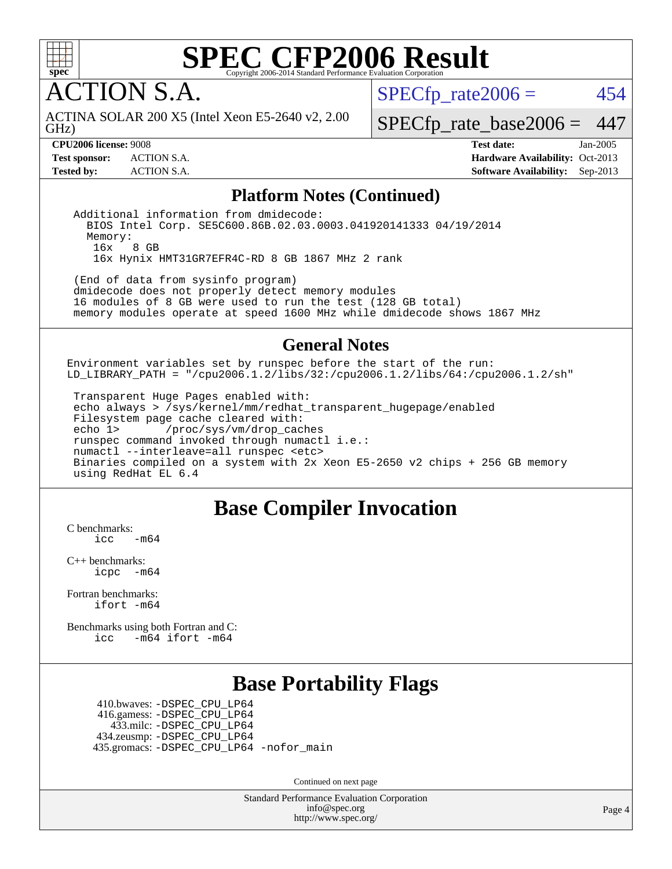

**CTION S.A.** 

GHz) ACTINA SOLAR 200 X5 (Intel Xeon E5-2640 v2, 2.00  $SPECTp\_rate2006 = 454$ 

[SPECfp\\_rate\\_base2006 =](http://www.spec.org/auto/cpu2006/Docs/result-fields.html#SPECfpratebase2006) 447

**[CPU2006 license:](http://www.spec.org/auto/cpu2006/Docs/result-fields.html#CPU2006license)** 9008 **[Test date:](http://www.spec.org/auto/cpu2006/Docs/result-fields.html#Testdate)** Jan-2005 **[Test sponsor:](http://www.spec.org/auto/cpu2006/Docs/result-fields.html#Testsponsor)** ACTION S.A. **[Hardware Availability:](http://www.spec.org/auto/cpu2006/Docs/result-fields.html#HardwareAvailability)** Oct-2013 **[Tested by:](http://www.spec.org/auto/cpu2006/Docs/result-fields.html#Testedby)** ACTION S.A. **[Software Availability:](http://www.spec.org/auto/cpu2006/Docs/result-fields.html#SoftwareAvailability)** Sep-2013

#### **[Platform Notes \(Continued\)](http://www.spec.org/auto/cpu2006/Docs/result-fields.html#PlatformNotes)**

 Additional information from dmidecode: BIOS Intel Corp. SE5C600.86B.02.03.0003.041920141333 04/19/2014 Memory: 16x 8 GB 16x Hynix HMT31GR7EFR4C-RD 8 GB 1867 MHz 2 rank

 (End of data from sysinfo program) dmidecode does not properly detect memory modules 16 modules of 8 GB were used to run the test (128 GB total) memory modules operate at speed 1600 MHz while dmidecode shows 1867 MHz

#### **[General Notes](http://www.spec.org/auto/cpu2006/Docs/result-fields.html#GeneralNotes)**

Environment variables set by runspec before the start of the run: LD\_LIBRARY\_PATH = "/cpu2006.1.2/libs/32:/cpu2006.1.2/libs/64:/cpu2006.1.2/sh"

 Transparent Huge Pages enabled with: echo always > /sys/kernel/mm/redhat\_transparent\_hugepage/enabled Filesystem page cache cleared with: echo 1> /proc/sys/vm/drop\_caches runspec command invoked through numactl i.e.: numactl --interleave=all runspec <etc> Binaries compiled on a system with 2x Xeon E5-2650 v2 chips + 256 GB memory using RedHat EL 6.4

#### **[Base Compiler Invocation](http://www.spec.org/auto/cpu2006/Docs/result-fields.html#BaseCompilerInvocation)**

[C benchmarks](http://www.spec.org/auto/cpu2006/Docs/result-fields.html#Cbenchmarks):  $-m64$ 

[C++ benchmarks:](http://www.spec.org/auto/cpu2006/Docs/result-fields.html#CXXbenchmarks) [icpc -m64](http://www.spec.org/cpu2006/results/res2014q3/cpu2006-20140811-30897.flags.html#user_CXXbase_intel_icpc_64bit_bedb90c1146cab66620883ef4f41a67e)

[Fortran benchmarks](http://www.spec.org/auto/cpu2006/Docs/result-fields.html#Fortranbenchmarks): [ifort -m64](http://www.spec.org/cpu2006/results/res2014q3/cpu2006-20140811-30897.flags.html#user_FCbase_intel_ifort_64bit_ee9d0fb25645d0210d97eb0527dcc06e)

[Benchmarks using both Fortran and C](http://www.spec.org/auto/cpu2006/Docs/result-fields.html#BenchmarksusingbothFortranandC): [icc -m64](http://www.spec.org/cpu2006/results/res2014q3/cpu2006-20140811-30897.flags.html#user_CC_FCbase_intel_icc_64bit_0b7121f5ab7cfabee23d88897260401c) [ifort -m64](http://www.spec.org/cpu2006/results/res2014q3/cpu2006-20140811-30897.flags.html#user_CC_FCbase_intel_ifort_64bit_ee9d0fb25645d0210d97eb0527dcc06e)

### **[Base Portability Flags](http://www.spec.org/auto/cpu2006/Docs/result-fields.html#BasePortabilityFlags)**

 410.bwaves: [-DSPEC\\_CPU\\_LP64](http://www.spec.org/cpu2006/results/res2014q3/cpu2006-20140811-30897.flags.html#suite_basePORTABILITY410_bwaves_DSPEC_CPU_LP64) 416.gamess: [-DSPEC\\_CPU\\_LP64](http://www.spec.org/cpu2006/results/res2014q3/cpu2006-20140811-30897.flags.html#suite_basePORTABILITY416_gamess_DSPEC_CPU_LP64) 433.milc: [-DSPEC\\_CPU\\_LP64](http://www.spec.org/cpu2006/results/res2014q3/cpu2006-20140811-30897.flags.html#suite_basePORTABILITY433_milc_DSPEC_CPU_LP64) 434.zeusmp: [-DSPEC\\_CPU\\_LP64](http://www.spec.org/cpu2006/results/res2014q3/cpu2006-20140811-30897.flags.html#suite_basePORTABILITY434_zeusmp_DSPEC_CPU_LP64) 435.gromacs: [-DSPEC\\_CPU\\_LP64](http://www.spec.org/cpu2006/results/res2014q3/cpu2006-20140811-30897.flags.html#suite_basePORTABILITY435_gromacs_DSPEC_CPU_LP64) [-nofor\\_main](http://www.spec.org/cpu2006/results/res2014q3/cpu2006-20140811-30897.flags.html#user_baseLDPORTABILITY435_gromacs_f-nofor_main)

Continued on next page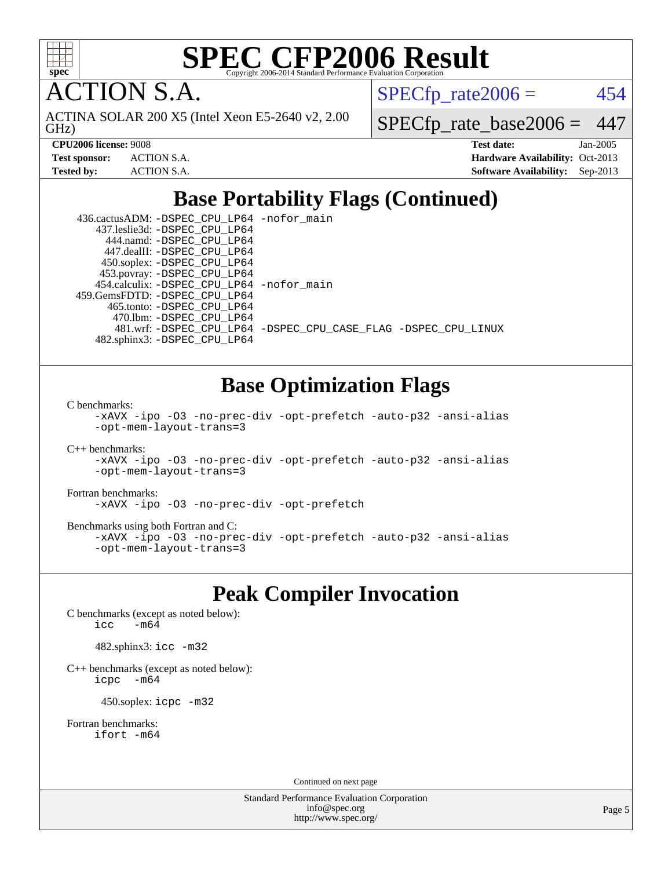

**TION S.A.** 

GHz) ACTINA SOLAR 200 X5 (Intel Xeon E5-2640 v2, 2.00  $SPECTp\_rate2006 = 454$ 

[SPECfp\\_rate\\_base2006 =](http://www.spec.org/auto/cpu2006/Docs/result-fields.html#SPECfpratebase2006) 447

| <b>Test sponsor:</b> | <b>ACTION S.A.</b> |
|----------------------|--------------------|
| Tested bv:           | ACTION S.A.        |

**[CPU2006 license:](http://www.spec.org/auto/cpu2006/Docs/result-fields.html#CPU2006license)** 9008 **[Test date:](http://www.spec.org/auto/cpu2006/Docs/result-fields.html#Testdate)** Jan-2005 **[Hardware Availability:](http://www.spec.org/auto/cpu2006/Docs/result-fields.html#HardwareAvailability)** Oct-2013 **[Software Availability:](http://www.spec.org/auto/cpu2006/Docs/result-fields.html#SoftwareAvailability)** Sep-2013

## **[Base Portability Flags \(Continued\)](http://www.spec.org/auto/cpu2006/Docs/result-fields.html#BasePortabilityFlags)**

| 436.cactusADM: -DSPEC_CPU_LP64 -nofor main  |                                                                |
|---------------------------------------------|----------------------------------------------------------------|
| 437.leslie3d: -DSPEC_CPU_LP64               |                                                                |
| 444.namd: - DSPEC CPU LP64                  |                                                                |
| 447.dealII: -DSPEC CPU LP64                 |                                                                |
| 450.soplex: -DSPEC_CPU_LP64                 |                                                                |
| 453.povray: -DSPEC_CPU_LP64                 |                                                                |
| 454.calculix: - DSPEC CPU LP64 - nofor main |                                                                |
| 459. GemsFDTD: - DSPEC CPU LP64             |                                                                |
| 465.tonto: -DSPEC CPU LP64                  |                                                                |
| 470.1bm: - DSPEC CPU LP64                   |                                                                |
|                                             | 481.wrf: -DSPEC CPU_LP64 -DSPEC_CPU_CASE_FLAG -DSPEC_CPU_LINUX |
| 482.sphinx3: -DSPEC CPU LP64                |                                                                |

## **[Base Optimization Flags](http://www.spec.org/auto/cpu2006/Docs/result-fields.html#BaseOptimizationFlags)**

[C benchmarks](http://www.spec.org/auto/cpu2006/Docs/result-fields.html#Cbenchmarks):

```
-xAVX -ipo -O3 -no-prec-div -opt-prefetch -auto-p32 -ansi-alias
-opt-mem-layout-trans=3
```
[C++ benchmarks:](http://www.spec.org/auto/cpu2006/Docs/result-fields.html#CXXbenchmarks)

```
-xAVX -ipo -O3 -no-prec-div -opt-prefetch -auto-p32 -ansi-alias
-opt-mem-layout-trans=3
```
[Fortran benchmarks](http://www.spec.org/auto/cpu2006/Docs/result-fields.html#Fortranbenchmarks): [-xAVX](http://www.spec.org/cpu2006/results/res2014q3/cpu2006-20140811-30897.flags.html#user_FCbase_f-xAVX) [-ipo](http://www.spec.org/cpu2006/results/res2014q3/cpu2006-20140811-30897.flags.html#user_FCbase_f-ipo) [-O3](http://www.spec.org/cpu2006/results/res2014q3/cpu2006-20140811-30897.flags.html#user_FCbase_f-O3) [-no-prec-div](http://www.spec.org/cpu2006/results/res2014q3/cpu2006-20140811-30897.flags.html#user_FCbase_f-no-prec-div) [-opt-prefetch](http://www.spec.org/cpu2006/results/res2014q3/cpu2006-20140811-30897.flags.html#user_FCbase_f-opt-prefetch)

[Benchmarks using both Fortran and C](http://www.spec.org/auto/cpu2006/Docs/result-fields.html#BenchmarksusingbothFortranandC): [-xAVX](http://www.spec.org/cpu2006/results/res2014q3/cpu2006-20140811-30897.flags.html#user_CC_FCbase_f-xAVX) [-ipo](http://www.spec.org/cpu2006/results/res2014q3/cpu2006-20140811-30897.flags.html#user_CC_FCbase_f-ipo) [-O3](http://www.spec.org/cpu2006/results/res2014q3/cpu2006-20140811-30897.flags.html#user_CC_FCbase_f-O3) [-no-prec-div](http://www.spec.org/cpu2006/results/res2014q3/cpu2006-20140811-30897.flags.html#user_CC_FCbase_f-no-prec-div) [-opt-prefetch](http://www.spec.org/cpu2006/results/res2014q3/cpu2006-20140811-30897.flags.html#user_CC_FCbase_f-opt-prefetch) [-auto-p32](http://www.spec.org/cpu2006/results/res2014q3/cpu2006-20140811-30897.flags.html#user_CC_FCbase_f-auto-p32) [-ansi-alias](http://www.spec.org/cpu2006/results/res2014q3/cpu2006-20140811-30897.flags.html#user_CC_FCbase_f-ansi-alias) [-opt-mem-layout-trans=3](http://www.spec.org/cpu2006/results/res2014q3/cpu2006-20140811-30897.flags.html#user_CC_FCbase_f-opt-mem-layout-trans_a7b82ad4bd7abf52556d4961a2ae94d5)

## **[Peak Compiler Invocation](http://www.spec.org/auto/cpu2006/Docs/result-fields.html#PeakCompilerInvocation)**

[C benchmarks \(except as noted below\)](http://www.spec.org/auto/cpu2006/Docs/result-fields.html#Cbenchmarksexceptasnotedbelow): icc  $-m64$ 

482.sphinx3: [icc -m32](http://www.spec.org/cpu2006/results/res2014q3/cpu2006-20140811-30897.flags.html#user_peakCCLD482_sphinx3_intel_icc_a6a621f8d50482236b970c6ac5f55f93)

[C++ benchmarks \(except as noted below\):](http://www.spec.org/auto/cpu2006/Docs/result-fields.html#CXXbenchmarksexceptasnotedbelow) [icpc -m64](http://www.spec.org/cpu2006/results/res2014q3/cpu2006-20140811-30897.flags.html#user_CXXpeak_intel_icpc_64bit_bedb90c1146cab66620883ef4f41a67e)

450.soplex: [icpc -m32](http://www.spec.org/cpu2006/results/res2014q3/cpu2006-20140811-30897.flags.html#user_peakCXXLD450_soplex_intel_icpc_4e5a5ef1a53fd332b3c49e69c3330699)

[Fortran benchmarks](http://www.spec.org/auto/cpu2006/Docs/result-fields.html#Fortranbenchmarks): [ifort -m64](http://www.spec.org/cpu2006/results/res2014q3/cpu2006-20140811-30897.flags.html#user_FCpeak_intel_ifort_64bit_ee9d0fb25645d0210d97eb0527dcc06e)

Continued on next page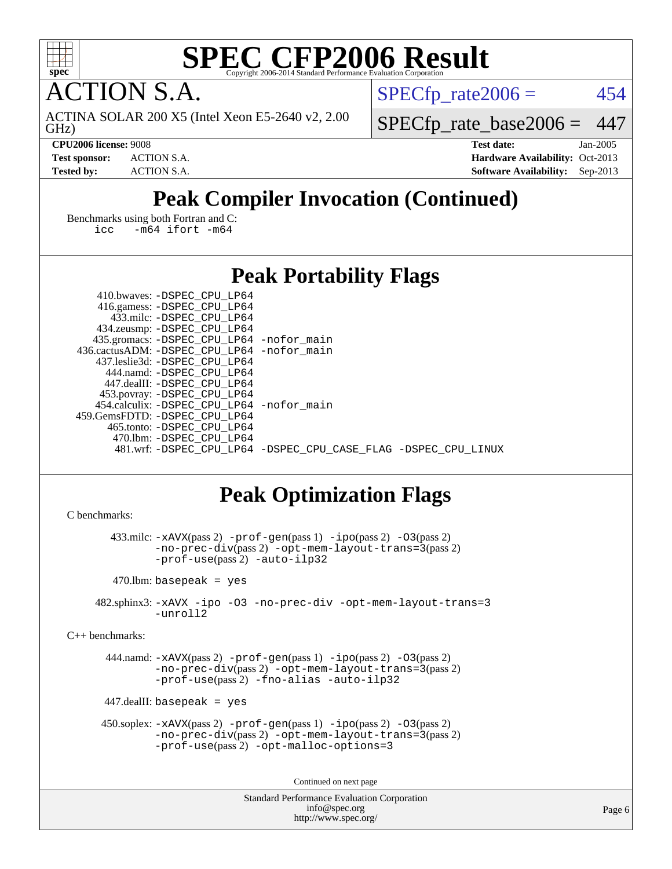

**TION S.A.** 

GHz) ACTINA SOLAR 200 X5 (Intel Xeon E5-2640 v2, 2.00  $SPECTp\_rate2006 = 454$ 

[SPECfp\\_rate\\_base2006 =](http://www.spec.org/auto/cpu2006/Docs/result-fields.html#SPECfpratebase2006) 447 **[CPU2006 license:](http://www.spec.org/auto/cpu2006/Docs/result-fields.html#CPU2006license)** 9008 **[Test date:](http://www.spec.org/auto/cpu2006/Docs/result-fields.html#Testdate)** Jan-2005 **[Test sponsor:](http://www.spec.org/auto/cpu2006/Docs/result-fields.html#Testsponsor)** ACTION S.A. **[Hardware Availability:](http://www.spec.org/auto/cpu2006/Docs/result-fields.html#HardwareAvailability)** Oct-2013

## **[Tested by:](http://www.spec.org/auto/cpu2006/Docs/result-fields.html#Testedby)** ACTION S.A. **[Software Availability:](http://www.spec.org/auto/cpu2006/Docs/result-fields.html#SoftwareAvailability)** Sep-2013

## **[Peak Compiler Invocation \(Continued\)](http://www.spec.org/auto/cpu2006/Docs/result-fields.html#PeakCompilerInvocation)**

[Benchmarks using both Fortran and C](http://www.spec.org/auto/cpu2006/Docs/result-fields.html#BenchmarksusingbothFortranandC): [icc -m64](http://www.spec.org/cpu2006/results/res2014q3/cpu2006-20140811-30897.flags.html#user_CC_FCpeak_intel_icc_64bit_0b7121f5ab7cfabee23d88897260401c) [ifort -m64](http://www.spec.org/cpu2006/results/res2014q3/cpu2006-20140811-30897.flags.html#user_CC_FCpeak_intel_ifort_64bit_ee9d0fb25645d0210d97eb0527dcc06e)

## **[Peak Portability Flags](http://www.spec.org/auto/cpu2006/Docs/result-fields.html#PeakPortabilityFlags)**

| 410.bwaves: -DSPEC CPU LP64                |                                                                |
|--------------------------------------------|----------------------------------------------------------------|
| 416.gamess: -DSPEC_CPU_LP64                |                                                                |
| 433.milc: -DSPEC CPU LP64                  |                                                                |
| 434.zeusmp: -DSPEC_CPU_LP64                |                                                                |
| 435.gromacs: -DSPEC_CPU_LP64 -nofor_main   |                                                                |
| 436.cactusADM: -DSPEC CPU LP64 -nofor main |                                                                |
| 437.leslie3d: -DSPEC CPU LP64              |                                                                |
| 444.namd: -DSPEC CPU LP64                  |                                                                |
| 447.dealII: -DSPEC CPU LP64                |                                                                |
| 453.povray: -DSPEC_CPU_LP64                |                                                                |
| 454.calculix: -DSPEC CPU LP64 -nofor main  |                                                                |
| 459.GemsFDTD: -DSPEC CPU LP64              |                                                                |
| 465.tonto: -DSPEC CPU LP64                 |                                                                |
| 470.1bm: - DSPEC_CPU_LP64                  |                                                                |
|                                            | 481.wrf: -DSPEC_CPU_LP64 -DSPEC_CPU_CASE_FLAG -DSPEC_CPU_LINUX |

## **[Peak Optimization Flags](http://www.spec.org/auto/cpu2006/Docs/result-fields.html#PeakOptimizationFlags)**

```
C benchmarks:
```

```
 433.milc: -xAVX(pass 2) -prof-gen(pass 1) -ipo(pass 2) -O3(pass 2)
               -no-prec-div(pass 2) -opt-mem-layout-trans=3(pass 2)
               -prof-use(pass 2) -auto-ilp32
        470.lbm: basepeak = yes
     482.sphinx3: -xAVX -ipo -O3 -no-prec-div -opt-mem-layout-trans=3
               -unroll2
C++ benchmarks:
```
 444.namd: [-xAVX](http://www.spec.org/cpu2006/results/res2014q3/cpu2006-20140811-30897.flags.html#user_peakPASS2_CXXFLAGSPASS2_LDFLAGS444_namd_f-xAVX)(pass 2) [-prof-gen](http://www.spec.org/cpu2006/results/res2014q3/cpu2006-20140811-30897.flags.html#user_peakPASS1_CXXFLAGSPASS1_LDFLAGS444_namd_prof_gen_e43856698f6ca7b7e442dfd80e94a8fc)(pass 1) [-ipo](http://www.spec.org/cpu2006/results/res2014q3/cpu2006-20140811-30897.flags.html#user_peakPASS2_CXXFLAGSPASS2_LDFLAGS444_namd_f-ipo)(pass 2) [-O3](http://www.spec.org/cpu2006/results/res2014q3/cpu2006-20140811-30897.flags.html#user_peakPASS2_CXXFLAGSPASS2_LDFLAGS444_namd_f-O3)(pass 2) [-no-prec-div](http://www.spec.org/cpu2006/results/res2014q3/cpu2006-20140811-30897.flags.html#user_peakPASS2_CXXFLAGSPASS2_LDFLAGS444_namd_f-no-prec-div)(pass 2) [-opt-mem-layout-trans=3](http://www.spec.org/cpu2006/results/res2014q3/cpu2006-20140811-30897.flags.html#user_peakPASS2_CXXFLAGS444_namd_f-opt-mem-layout-trans_a7b82ad4bd7abf52556d4961a2ae94d5)(pass 2) [-prof-use](http://www.spec.org/cpu2006/results/res2014q3/cpu2006-20140811-30897.flags.html#user_peakPASS2_CXXFLAGSPASS2_LDFLAGS444_namd_prof_use_bccf7792157ff70d64e32fe3e1250b55)(pass 2) [-fno-alias](http://www.spec.org/cpu2006/results/res2014q3/cpu2006-20140811-30897.flags.html#user_peakCXXOPTIMIZE444_namd_f-no-alias_694e77f6c5a51e658e82ccff53a9e63a) [-auto-ilp32](http://www.spec.org/cpu2006/results/res2014q3/cpu2006-20140811-30897.flags.html#user_peakCXXOPTIMIZE444_namd_f-auto-ilp32)

447.dealII: basepeak = yes

```
 450.soplex: -xAVX(pass 2) -prof-gen(pass 1) -ipo(pass 2) -O3(pass 2)
         -no-prec-div(pass 2) -opt-mem-layout-trans=3(pass 2)
         -prof-use(pass 2) -opt-malloc-options=3
```
Continued on next page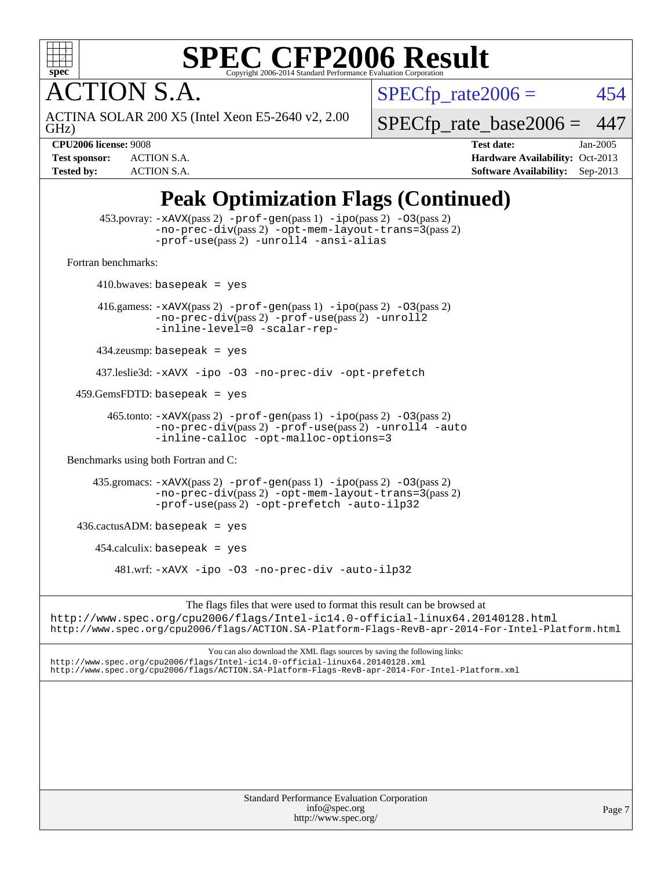

**CTION S.A.** 

 $SPECTp_rate2006 = 454$ 

GHz) ACTINA SOLAR 200 X5 (Intel Xeon E5-2640 v2, 2.00

[SPECfp\\_rate\\_base2006 =](http://www.spec.org/auto/cpu2006/Docs/result-fields.html#SPECfpratebase2006) 447

**[CPU2006 license:](http://www.spec.org/auto/cpu2006/Docs/result-fields.html#CPU2006license)** 9008 **[Test date:](http://www.spec.org/auto/cpu2006/Docs/result-fields.html#Testdate)** Jan-2005 **[Test sponsor:](http://www.spec.org/auto/cpu2006/Docs/result-fields.html#Testsponsor)** ACTION S.A. **[Hardware Availability:](http://www.spec.org/auto/cpu2006/Docs/result-fields.html#HardwareAvailability)** Oct-2013 **[Tested by:](http://www.spec.org/auto/cpu2006/Docs/result-fields.html#Testedby)** ACTION S.A. **[Software Availability:](http://www.spec.org/auto/cpu2006/Docs/result-fields.html#SoftwareAvailability)** Sep-2013

## **[Peak Optimization Flags \(Continued\)](http://www.spec.org/auto/cpu2006/Docs/result-fields.html#PeakOptimizationFlags)**

|                                      | 453.povray: $-xAvx(pass 2)$ -prof-gen(pass 1) -ipo(pass 2) -03(pass 2)<br>$-no\text{-prec-div}(pass 2)$ -opt-mem-layout-trans=3(pass 2)<br>-prof-use(pass 2) -unroll4 -ansi-alias               |
|--------------------------------------|-------------------------------------------------------------------------------------------------------------------------------------------------------------------------------------------------|
| Fortran benchmarks:                  |                                                                                                                                                                                                 |
|                                      | $410.bwaves: basepeak = yes$                                                                                                                                                                    |
|                                      | 416.gamess: $-x$ AVX(pass 2) $-prof-gen(pass 1) -ipo(pass 2) -O3(pass 2)$<br>-no-prec-div(pass 2) -prof-use(pass 2) -unroll2<br>-inline-level=0 -scalar-rep-                                    |
|                                      | $434$ .zeusmp: basepeak = yes                                                                                                                                                                   |
|                                      | 437.leslie3d: -xAVX -ipo -03 -no-prec-div -opt-prefetch                                                                                                                                         |
| $459.GemsFDTD:$ basepeak = yes       |                                                                                                                                                                                                 |
|                                      | $465$ .tonto: $-xAUX(pass 2)$ -prof-gen(pass 1) -ipo(pass 2) -03(pass 2)<br>$-no\text{-prec-div}(pass 2)$ $-prof\text{-use}(pass 2)$ $-unroll4$ $-auto$<br>-inline-calloc -opt-malloc-options=3 |
| Benchmarks using both Fortran and C: |                                                                                                                                                                                                 |
|                                      | 435.gromacs: $-xAUX(pass 2)$ -prof-gen(pass 1) -ipo(pass 2) -03(pass 2)<br>$-no\text{-prec-div}(pass 2)$ -opt-mem-layout-trans=3(pass 2)<br>-prof-use(pass 2) -opt-prefetch -auto-ilp32         |
| $436.cactusADM: basepeak = yes$      |                                                                                                                                                                                                 |
|                                      | $454$ .calculix: basepeak = yes                                                                                                                                                                 |
|                                      | $481 \text{.wrf: } -x \text{AVX}$ $-i \text{po}$ $-03$ $-n \text{o-prec-div}$ $- \text{auto-ilp32}$                                                                                             |
|                                      |                                                                                                                                                                                                 |

The flags files that were used to format this result can be browsed at <http://www.spec.org/cpu2006/flags/Intel-ic14.0-official-linux64.20140128.html> <http://www.spec.org/cpu2006/flags/ACTION.SA-Platform-Flags-RevB-apr-2014-For-Intel-Platform.html>

You can also download the XML flags sources by saving the following links: <http://www.spec.org/cpu2006/flags/Intel-ic14.0-official-linux64.20140128.xml> <http://www.spec.org/cpu2006/flags/ACTION.SA-Platform-Flags-RevB-apr-2014-For-Intel-Platform.xml>